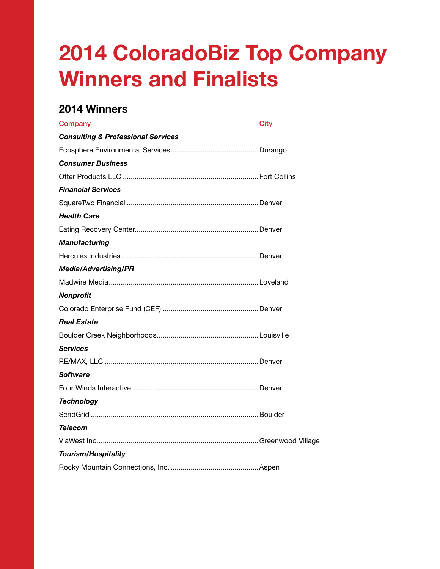## 2014 ColoradoBiz Top Company Winners and Finalists

## 2014 Winners

| Company                                       | <b>City</b> |
|-----------------------------------------------|-------------|
| <b>Consulting &amp; Professional Services</b> |             |
|                                               |             |
| <b>Consumer Business</b>                      |             |
|                                               |             |
| <b>Financial Services</b>                     |             |
|                                               |             |
| <b>Health Care</b>                            |             |
|                                               |             |
| <b>Manufacturing</b>                          |             |
|                                               |             |
| <b>Media/Advertising/PR</b>                   |             |
|                                               |             |
| Nonprofit                                     |             |
|                                               |             |
| Real Estate                                   |             |
|                                               |             |
| <b>Services</b>                               |             |
|                                               |             |
| <b>Software</b>                               |             |
|                                               |             |
| <b>Technology</b>                             |             |
|                                               |             |
| Telecom                                       |             |
|                                               |             |
| <b>Tourism/Hospitality</b>                    |             |
|                                               |             |